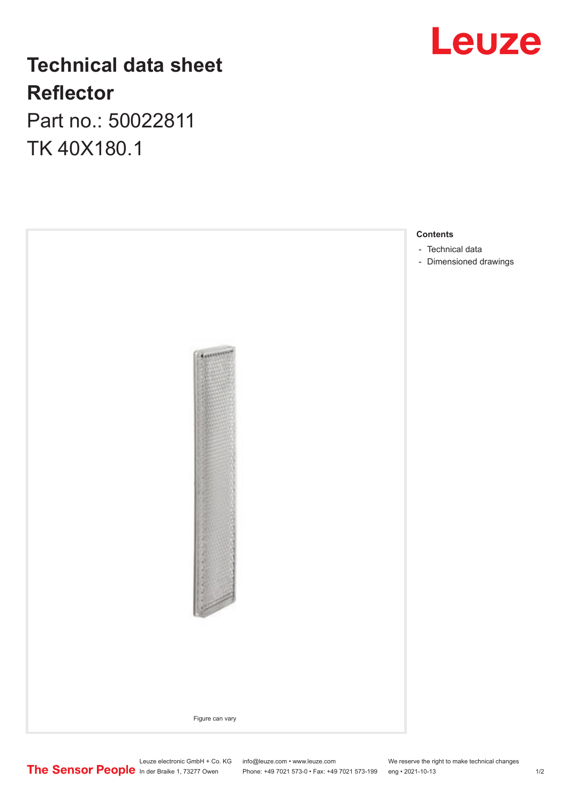## **Leuze**

## **Technical data sheet Reflector**

Part no.: 50022811 TK 40X180.1



In der Braike 1, 73277 Owen Phone: +49 7021 573-0 • Fax: +49 7021 573-199 eng • 2021-10-13